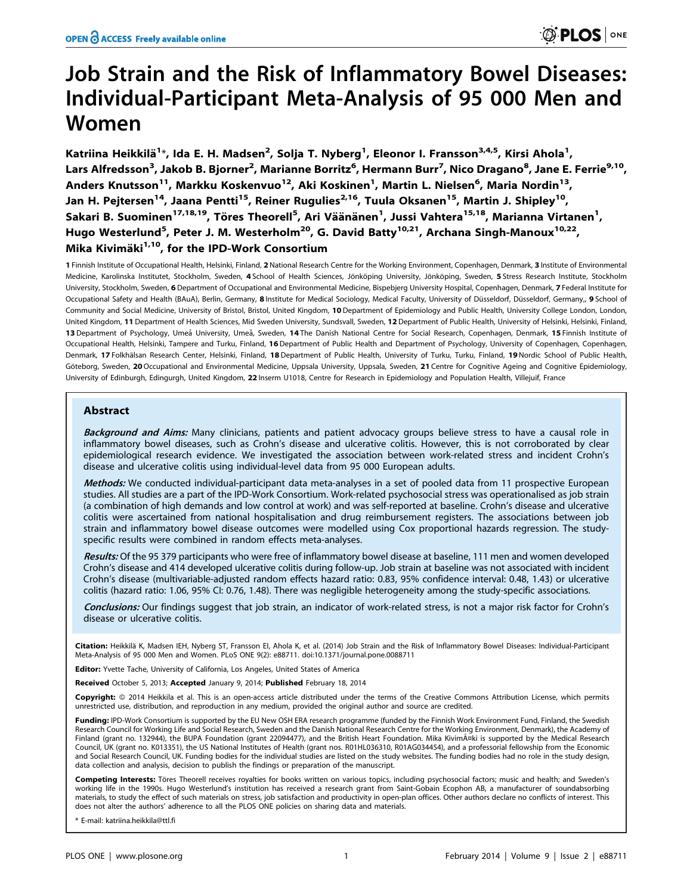# Job Strain and the Risk of Inflammatory Bowel Diseases: Individual-Participant Meta-Analysis of 95 000 Men and Women

Katriina Heikkilä<sup>1</sup>\*, Ida E. H. Madsen<sup>2</sup>, Solja T. Nyberg<sup>1</sup>, Eleonor I. Fransson<sup>3,4,5</sup>, Kirsi Ahola<sup>1</sup>, Lars Alfredsson<sup>3</sup>, Jakob B. Bjorner<sup>2</sup>, Marianne Borritz<sup>6</sup>, Hermann Burr<sup>7</sup>, Nico Dragano<sup>8</sup>, Jane E. Ferrie<sup>9,10</sup>, Anders Knutsson<sup>11</sup>, Markku Koskenvuo<sup>12</sup>, Aki Koskinen<sup>1</sup>, Martin L. Nielsen<sup>6</sup>, Maria Nordin<sup>13</sup>, Jan H. Pejtersen<sup>14</sup>, Jaana Pentti<sup>15</sup>, Reiner Rugulies<sup>2,16</sup>, Tuula Oksanen<sup>15</sup>, Martin J. Shipley<sup>10</sup>, Sakari B. Suominen<sup>17,18,19</sup>, Töres Theorell<sup>5</sup>, Ari Väänänen<sup>1</sup>, Jussi Vahtera<sup>15,18</sup>, Marianna Virtanen<sup>1</sup>, Hugo Westerlund<sup>5</sup>, Peter J. M. Westerholm<sup>20</sup>, G. David Batty<sup>10,21</sup>, Archana Singh-Manoux<sup>10,22</sup>, Mika Kivimäki $1,10$ , for the IPD-Work Consortium

1 Finnish Institute of Occupational Health, Helsinki, Finland, 2 National Research Centre for the Working Environment, Copenhagen, Denmark, 3 Institute of Environmental Medicine, Karolinska Institutet, Stockholm, Sweden, 4 School of Health Sciences, Jönköping University, Jönköping, Sweden, 5 Stress Research Institute, Stockholm University, Stockholm, Sweden, 6 Department of Occupational and Environmental Medicine, Bispebjerg University Hospital, Copenhagen, Denmark, 7 Federal Institute for Occupational Safety and Health (BAuA), Berlin, Germany, 8 Institute for Medical Sociology, Medical Faculty, University of Düsseldorf, Düsseldorf, Germany, 9 School of Community and Social Medicine, University of Bristol, Bristol, United Kingdom, 10 Department of Epidemiology and Public Health, University College London, London, United Kingdom, 11 Department of Health Sciences, Mid Sweden University, Sundsvall, Sweden, 12 Department of Public Health, University of Helsinki, Helsinki, Finland, 13 Department of Psychology, Umeå University, Umeå, Sweden, 14 The Danish National Centre for Social Research, Copenhagen, Denmark, 15 Finnish Institute of Occupational Health, Helsinki, Tampere and Turku, Finland, 16 Department of Public Health and Department of Psychology, University of Copenhagen, Copenhagen, Denmark, 17 Folkhälsan Research Center, Helsinki, Finland, 18 Department of Public Health, University of Turku, Turku, Finland, 19 Nordic School of Public Health, Göteborg, Sweden, 20 Occupational and Environmental Medicine, Uppsala University, Uppsala, Sweden, 21 Centre for Cognitive Ageing and Cognitive Epidemiology, University of Edinburgh, Edingurgh, United Kingdom, 22 Inserm U1018, Centre for Research in Epidemiology and Population Health, Villejuif, France

# Abstract

Background and Aims: Many clinicians, patients and patient advocacy groups believe stress to have a causal role in inflammatory bowel diseases, such as Crohn's disease and ulcerative colitis. However, this is not corroborated by clear epidemiological research evidence. We investigated the association between work-related stress and incident Crohn's disease and ulcerative colitis using individual-level data from 95 000 European adults.

Methods: We conducted individual-participant data meta-analyses in a set of pooled data from 11 prospective European studies. All studies are a part of the IPD-Work Consortium. Work-related psychosocial stress was operationalised as job strain (a combination of high demands and low control at work) and was self-reported at baseline. Crohn's disease and ulcerative colitis were ascertained from national hospitalisation and drug reimbursement registers. The associations between job strain and inflammatory bowel disease outcomes were modelled using Cox proportional hazards regression. The studyspecific results were combined in random effects meta-analyses.

Results: Of the 95 379 participants who were free of inflammatory bowel disease at baseline, 111 men and women developed Crohn's disease and 414 developed ulcerative colitis during follow-up. Job strain at baseline was not associated with incident Crohn's disease (multivariable-adjusted random effects hazard ratio: 0.83, 95% confidence interval: 0.48, 1.43) or ulcerative colitis (hazard ratio: 1.06, 95% CI: 0.76, 1.48). There was negligible heterogeneity among the study-specific associations.

Conclusions: Our findings suggest that job strain, an indicator of work-related stress, is not a major risk factor for Crohn's disease or ulcerative colitis.

Citation: Heikkilä K, Madsen IEH, Nyberg ST, Fransson El, Ahola K, et al. (2014) Job Strain and the Risk of Inflammatory Bowel Diseases: Individual-Participant Meta-Analysis of 95 000 Men and Women. PLoS ONE 9(2): e88711. doi:10.1371/journal.pone.0088711

Editor: Yvette Tache, University of California, Los Angeles, United States of America

Received October 5, 2013; Accepted January 9, 2014; Published February 18, 2014

**Copyright:** © 2014 Heikkila et al. This is an open-access article distributed under the terms of the [Creative Commons Attribution License,](http://creativecommons.org/licenses/by/4.0/) which permits unrestricted use, distribution, and reproduction in any medium, provided the original author and source are credited.

Funding: IPD-Work Consortium is supported by the EU New OSH ERA research programme (funded by the Finnish Work Environment Fund, Finland, the Swedish Research Council for Working Life and Social Research, Sweden and the Danish National Research Centre for the Working Environment, Denmark), the Academy of Finland (grant no. 132944), the BUPA Foundation (grant 22094477), and the British Heart Foundation. Mika KivimA¤ki is supported by the Medical Research Council, UK (grant no. K013351), the US National Institutes of Health (grant nos. R01HL036310, R01AG034454), and a professorial fellowship from the Economic and Social Research Council, UK. Funding bodies for the individual studies are listed on the study websites. The funding bodies had no role in the study design, data collection and analysis, decision to publish the findings or preparation of the manuscript.

Competing Interests: Töres Theorell receives royalties for books written on various topics, including psychosocial factors; music and health; and Sweden's working life in the 1990s. Hugo Westerlund's institution has received a research grant from Saint-Gobain Ecophon AB, a manufacturer of soundabsorbing materials, to study the effect of such materials on stress, job satisfaction and productivity in open-plan offices. Other authors declare no conflicts of interest. This does not alter the authors' adherence to all the PLOS ONE policies on sharing data and materials.

E-mail: katriina.heikkila@ttl.fi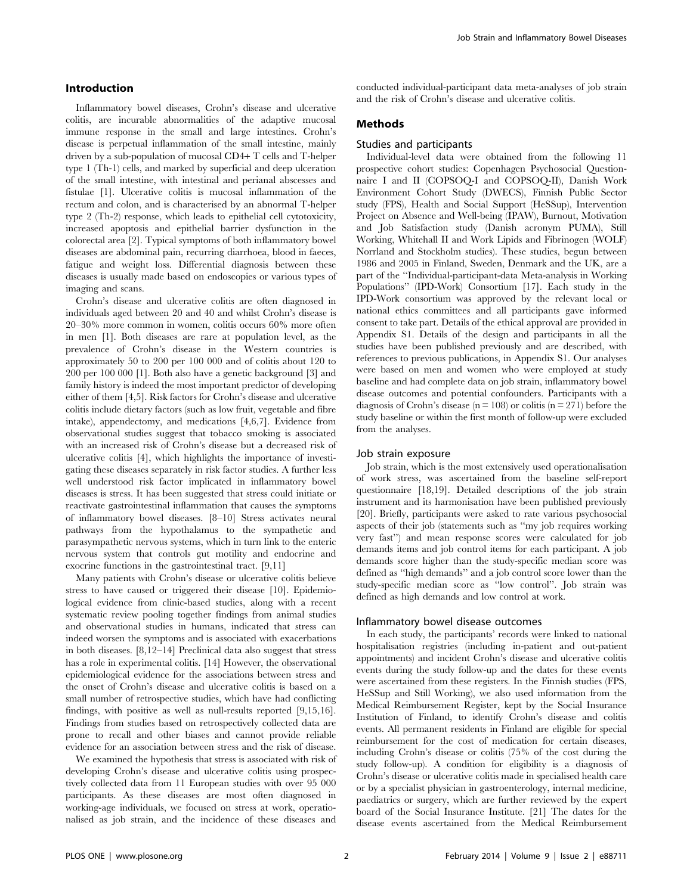## Introduction

Inflammatory bowel diseases, Crohn's disease and ulcerative colitis, are incurable abnormalities of the adaptive mucosal immune response in the small and large intestines. Crohn's disease is perpetual inflammation of the small intestine, mainly driven by a sub-population of mucosal CD4+ T cells and T-helper type 1 (Th-1) cells, and marked by superficial and deep ulceration of the small intestine, with intestinal and perianal abscesses and fistulae [1]. Ulcerative colitis is mucosal inflammation of the rectum and colon, and is characterised by an abnormal T-helper type 2 (Th-2) response, which leads to epithelial cell cytotoxicity, increased apoptosis and epithelial barrier dysfunction in the colorectal area [2]. Typical symptoms of both inflammatory bowel diseases are abdominal pain, recurring diarrhoea, blood in faeces, fatigue and weight loss. Differential diagnosis between these diseases is usually made based on endoscopies or various types of imaging and scans.

Crohn's disease and ulcerative colitis are often diagnosed in individuals aged between 20 and 40 and whilst Crohn's disease is 20–30% more common in women, colitis occurs 60% more often in men [1]. Both diseases are rare at population level, as the prevalence of Crohn's disease in the Western countries is approximately 50 to 200 per 100 000 and of colitis about 120 to 200 per 100 000 [1]. Both also have a genetic background [3] and family history is indeed the most important predictor of developing either of them [4,5]. Risk factors for Crohn's disease and ulcerative colitis include dietary factors (such as low fruit, vegetable and fibre intake), appendectomy, and medications [4,6,7]. Evidence from observational studies suggest that tobacco smoking is associated with an increased risk of Crohn's disease but a decreased risk of ulcerative colitis [4], which highlights the importance of investigating these diseases separately in risk factor studies. A further less well understood risk factor implicated in inflammatory bowel diseases is stress. It has been suggested that stress could initiate or reactivate gastrointestinal inflammation that causes the symptoms of inflammatory bowel diseases. [8–10] Stress activates neural pathways from the hypothalamus to the sympathetic and parasympathetic nervous systems, which in turn link to the enteric nervous system that controls gut motility and endocrine and exocrine functions in the gastrointestinal tract. [9,11]

Many patients with Crohn's disease or ulcerative colitis believe stress to have caused or triggered their disease [10]. Epidemiological evidence from clinic-based studies, along with a recent systematic review pooling together findings from animal studies and observational studies in humans, indicated that stress can indeed worsen the symptoms and is associated with exacerbations in both diseases. [8,12–14] Preclinical data also suggest that stress has a role in experimental colitis. [14] However, the observational epidemiological evidence for the associations between stress and the onset of Crohn's disease and ulcerative colitis is based on a small number of retrospective studies, which have had conflicting findings, with positive as well as null-results reported [9,15,16]. Findings from studies based on retrospectively collected data are prone to recall and other biases and cannot provide reliable evidence for an association between stress and the risk of disease.

We examined the hypothesis that stress is associated with risk of developing Crohn's disease and ulcerative colitis using prospectively collected data from 11 European studies with over 95 000 participants. As these diseases are most often diagnosed in working-age individuals, we focused on stress at work, operationalised as job strain, and the incidence of these diseases and conducted individual-participant data meta-analyses of job strain and the risk of Crohn's disease and ulcerative colitis.

## Methods

#### Studies and participants

Individual-level data were obtained from the following 11 prospective cohort studies: Copenhagen Psychosocial Questionnaire I and II (COPSOQ-I and COPSOQ-II), Danish Work Environment Cohort Study (DWECS), Finnish Public Sector study (FPS), Health and Social Support (HeSSup), Intervention Project on Absence and Well-being (IPAW), Burnout, Motivation and Job Satisfaction study (Danish acronym PUMA), Still Working, Whitehall II and Work Lipids and Fibrinogen (WOLF) Norrland and Stockholm studies). These studies, begun between 1986 and 2005 in Finland, Sweden, Denmark and the UK, are a part of the ''Individual-participant-data Meta-analysis in Working Populations'' (IPD-Work) Consortium [17]. Each study in the IPD-Work consortium was approved by the relevant local or national ethics committees and all participants gave informed consent to take part. Details of the ethical approval are provided in Appendix S1. Details of the design and participants in all the studies have been published previously and are described, with references to previous publications, in Appendix S1. Our analyses were based on men and women who were employed at study baseline and had complete data on job strain, inflammatory bowel disease outcomes and potential confounders. Participants with a diagnosis of Crohn's disease ( $n = 108$ ) or colitis ( $n = 271$ ) before the study baseline or within the first month of follow-up were excluded from the analyses.

## Job strain exposure

Job strain, which is the most extensively used operationalisation of work stress, was ascertained from the baseline self-report questionnaire [18,19]. Detailed descriptions of the job strain instrument and its harmonisation have been published previously [20]. Briefly, participants were asked to rate various psychosocial aspects of their job (statements such as ''my job requires working very fast'') and mean response scores were calculated for job demands items and job control items for each participant. A job demands score higher than the study-specific median score was defined as ''high demands'' and a job control score lower than the study-specific median score as ''low control''. Job strain was defined as high demands and low control at work.

## Inflammatory bowel disease outcomes

In each study, the participants' records were linked to national hospitalisation registries (including in-patient and out-patient appointments) and incident Crohn's disease and ulcerative colitis events during the study follow-up and the dates for these events were ascertained from these registers. In the Finnish studies (FPS, HeSSup and Still Working), we also used information from the Medical Reimbursement Register, kept by the Social Insurance Institution of Finland, to identify Crohn's disease and colitis events. All permanent residents in Finland are eligible for special reimbursement for the cost of medication for certain diseases, including Crohn's disease or colitis (75% of the cost during the study follow-up). A condition for eligibility is a diagnosis of Crohn's disease or ulcerative colitis made in specialised health care or by a specialist physician in gastroenterology, internal medicine, paediatrics or surgery, which are further reviewed by the expert board of the Social Insurance Institute. [21] The dates for the disease events ascertained from the Medical Reimbursement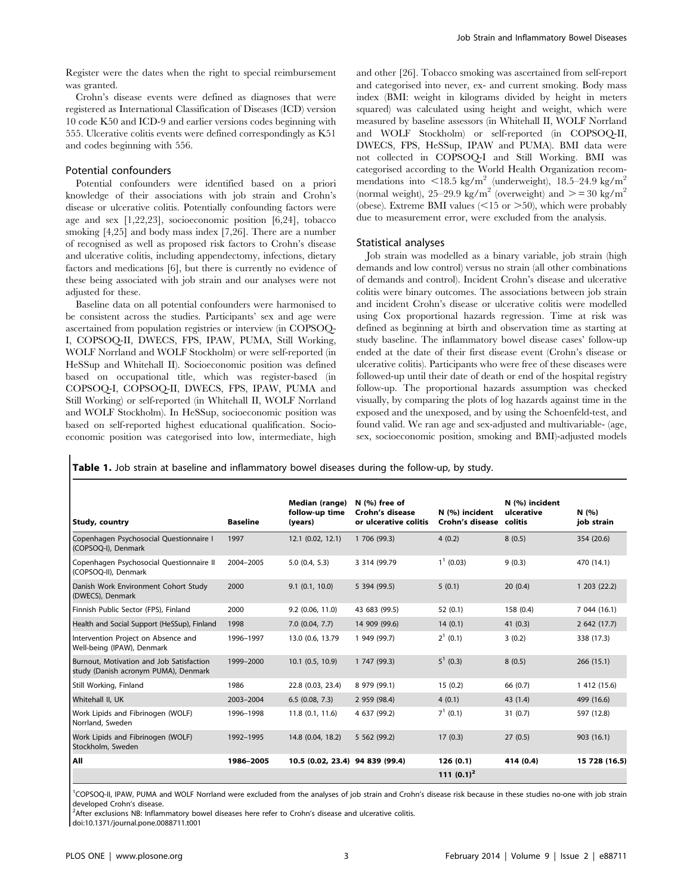Register were the dates when the right to special reimbursement was granted.

Crohn's disease events were defined as diagnoses that were registered as International Classification of Diseases (ICD) version 10 code K50 and ICD-9 and earlier versions codes beginning with 555. Ulcerative colitis events were defined correspondingly as K51 and codes beginning with 556.

## Potential confounders

Potential confounders were identified based on a priori knowledge of their associations with job strain and Crohn's disease or ulcerative colitis. Potentially confounding factors were age and sex [1,22,23], socioeconomic position [6,24], tobacco smoking [4,25] and body mass index [7,26]. There are a number of recognised as well as proposed risk factors to Crohn's disease and ulcerative colitis, including appendectomy, infections, dietary factors and medications [6], but there is currently no evidence of these being associated with job strain and our analyses were not adjusted for these.

Baseline data on all potential confounders were harmonised to be consistent across the studies. Participants' sex and age were ascertained from population registries or interview (in COPSOQ-I, COPSOQ-II, DWECS, FPS, IPAW, PUMA, Still Working, WOLF Norrland and WOLF Stockholm) or were self-reported (in HeSSup and Whitehall II). Socioeconomic position was defined based on occupational title, which was register-based (in COPSOQ-I, COPSOQ-II, DWECS, FPS, IPAW, PUMA and Still Working) or self-reported (in Whitehall II, WOLF Norrland and WOLF Stockholm). In HeSSup, socioeconomic position was based on self-reported highest educational qualification. Socioeconomic position was categorised into low, intermediate, high and other [26]. Tobacco smoking was ascertained from self-report and categorised into never, ex- and current smoking. Body mass index (BMI: weight in kilograms divided by height in meters squared) was calculated using height and weight, which were measured by baseline assessors (in Whitehall II, WOLF Norrland and WOLF Stockholm) or self-reported (in COPSOQ-II, DWECS, FPS, HeSSup, IPAW and PUMA). BMI data were not collected in COPSOQ-I and Still Working. BMI was categorised according to the World Health Organization recommendations into  $\langle 18.5 \text{ kg/m}^2 \rangle$  (underweight), 18.5–24.9 kg/m<sup>2</sup> (normal weight),  $25-29.9 \text{ kg/m}^2$  (overweight) and  $\geq$  = 30 kg/m<sup>2</sup> (obese). Extreme BMI values  $\leq$ 15 or  $\geq$ 50), which were probably due to measurement error, were excluded from the analysis.

#### Statistical analyses

Job strain was modelled as a binary variable, job strain (high demands and low control) versus no strain (all other combinations of demands and control). Incident Crohn's disease and ulcerative colitis were binary outcomes. The associations between job strain and incident Crohn's disease or ulcerative colitis were modelled using Cox proportional hazards regression. Time at risk was defined as beginning at birth and observation time as starting at study baseline. The inflammatory bowel disease cases' follow-up ended at the date of their first disease event (Crohn's disease or ulcerative colitis). Participants who were free of these diseases were followed-up until their date of death or end of the hospital registry follow-up. The proportional hazards assumption was checked visually, by comparing the plots of log hazards against time in the exposed and the unexposed, and by using the Schoenfeld-test, and found valid. We ran age and sex-adjusted and multivariable- (age, sex, socioeconomic position, smoking and BMI)-adjusted models

Table 1. Job strain at baseline and inflammatory bowel diseases during the follow-up, by study.

|                                                                                  |                 | Median (range)                  | $N$ (%) free of                          |                                           | N (%) incident |                     |
|----------------------------------------------------------------------------------|-----------------|---------------------------------|------------------------------------------|-------------------------------------------|----------------|---------------------|
| <b>Study, country</b>                                                            | <b>Baseline</b> | follow-up time<br>(years)       | Crohn's disease<br>or ulcerative colitis | N (%) incident<br>Crohn's disease colitis | ulcerative     | N(96)<br>job strain |
| Copenhagen Psychosocial Questionnaire I<br>(COPSOQ-I), Denmark                   | 1997            | 12.1(0.02, 12.1)                | 1 706 (99.3)                             | 4(0.2)                                    | 8(0.5)         | 354 (20.6)          |
| Copenhagen Psychosocial Questionnaire II<br>(COPSOQ-II), Denmark                 | 2004-2005       | 5.0(0.4, 5.3)                   | 3 3 14 (99.79)                           | $1^1$ (0.03)                              | 9(0.3)         | 470 (14.1)          |
| Danish Work Environment Cohort Study<br>(DWECS), Denmark                         | 2000            | 9.1(0.1, 10.0)                  | 5 394 (99.5)                             | 5(0.1)                                    | 20(0.4)        | 1,203, (22.2)       |
| Finnish Public Sector (FPS), Finland                                             | 2000            | $9.2$ (0.06, 11.0)              | 43 683 (99.5)                            | 52(0.1)                                   | 158 (0.4)      | 7 044 (16.1)        |
| Health and Social Support (HeSSup), Finland                                      | 1998            | $7.0$ (0.04, 7.7)               | 14 909 (99.6)                            | 14(0.1)                                   | 41(0.3)        | 2 642 (17.7)        |
| Intervention Project on Absence and<br>Well-being (IPAW), Denmark                | 1996-1997       | 13.0 (0.6, 13.79)               | 1 949 (99.7)                             | $2^1$ (0.1)                               | 3(0.2)         | 338 (17.3)          |
| Burnout, Motivation and Job Satisfaction<br>study (Danish acronym PUMA), Denmark | 1999-2000       | $10.1$ $(0.5, 10.9)$            | 1 747 (99.3)                             | $5^1$ (0.3)                               | 8(0.5)         | 266(15.1)           |
| Still Working, Finland                                                           | 1986            | 22.8 (0.03, 23.4)               | 8 979 (99.1)                             | 15(0.2)                                   | 66 (0.7)       | 1 412 (15.6)        |
| Whitehall II, UK                                                                 | 2003-2004       | 6.5(0.08, 7.3)                  | 2 959 (98.4)                             | 4(0.1)                                    | 43 (1.4)       | 499 (16.6)          |
| Work Lipids and Fibrinogen (WOLF)<br>Norrland, Sweden                            | 1996-1998       | 11.8(0.1, 11.6)                 | 4 637 (99.2)                             | $7^1$ (0.1)                               | 31(0.7)        | 597 (12.8)          |
| Work Lipids and Fibrinogen (WOLF)<br>Stockholm, Sweden                           | 1992-1995       | 14.8 (0.04, 18.2)               | 5 562 (99.2)                             | 17(0.3)                                   | 27(0.5)        | 903 (16.1)          |
| All                                                                              | 1986-2005       | 10.5 (0.02, 23.4) 94 839 (99.4) |                                          | 126(0.1)                                  | 414 (0.4)      | 15 728 (16.5)       |
|                                                                                  |                 |                                 |                                          | 111 $(0.1)^2$                             |                |                     |

<sup>1</sup>COPSOQ-II, IPAW, PUMA and WOLF Norrland were excluded from the analyses of job strain and Crohn's disease risk because in these studies no-one with job strain developed Crohn's disease.

<sup>2</sup>After exclusions NB: Inflammatory bowel diseases here refer to Crohn's disease and ulcerative colitis.

doi:10.1371/journal.pone.0088711.t001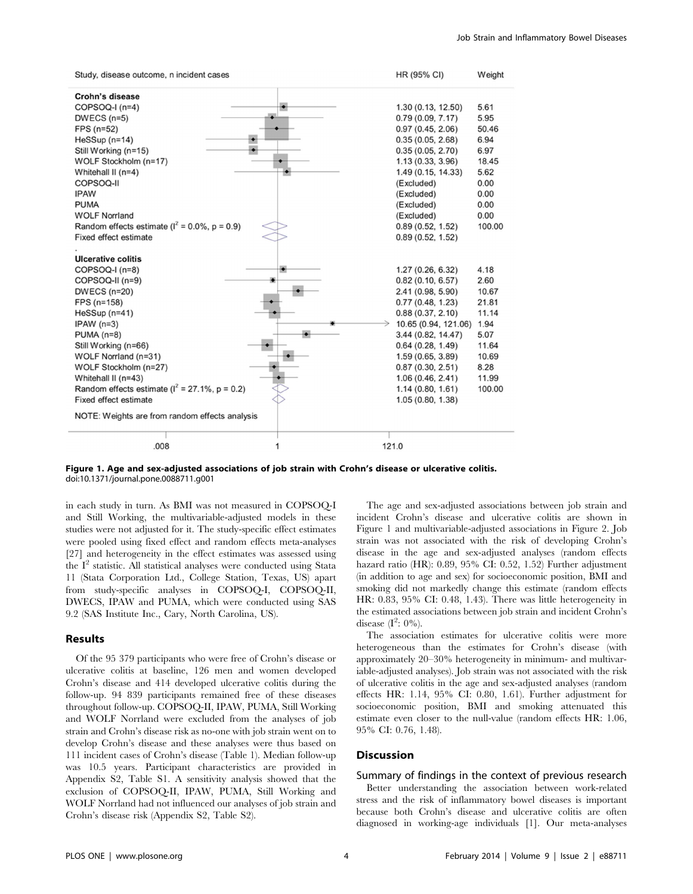| Study, disease outcome, n incident cases            |            | HR (95% CI)          | Weight |
|-----------------------------------------------------|------------|----------------------|--------|
| Crohn's disease                                     |            |                      |        |
| COPSOQ-I (n=4)                                      |            | 1.30 (0.13, 12.50)   | 5.61   |
| $DWECS(n=5)$                                        |            | 0.79(0.09, 7.17)     | 5.95   |
| FPS (n=52)                                          |            | 0.97(0.45, 2.06)     | 50.46  |
| $HeSSup(n=14)$                                      |            | 0.35(0.05, 2.68)     | 6.94   |
| Still Working (n=15)                                |            | 0.35(0.05, 2.70)     | 6.97   |
| WOLF Stockholm (n=17)                               |            | 1.13(0.33, 3.96)     | 18.45  |
| Whitehall II (n=4)                                  |            | 1.49 (0.15, 14.33)   | 5.62   |
| COPSOQ-II                                           |            | (Excluded)           | 0.00   |
| <b>IPAW</b>                                         |            | (Excluded)           | 0.00   |
| <b>PUMA</b>                                         |            | (Excluded)           | 0.00   |
| <b>WOLF Norrland</b>                                |            | (Excluded)           | 0.00   |
| Random effects estimate ( $I^2 = 0.0\%$ , p = 0.9)  |            | 0.89(0.52, 1.52)     | 100.00 |
| Fixed effect estimate                               |            | 0.89(0.52, 1.52)     |        |
|                                                     |            |                      |        |
| <b>Ulcerative colitis</b>                           |            |                      |        |
| COPSOQ-I (n=8)                                      |            | 1.27(0.26, 6.32)     | 4.18   |
| COPSOQ-II (n=9)                                     |            | 0.82(0.10, 6.57)     | 2.60   |
| $DWECS(n=20)$                                       |            | 2.41 (0.98, 5.90)    | 10.67  |
| FPS (n=158)                                         |            | 0.77(0.48, 1.23)     | 21.81  |
| HeSSup (n=41)                                       |            | 0.88(0.37, 2.10)     | 11.14  |
| $IPAW(n=3)$                                         |            | 10.65 (0.94, 121.06) | 1.94   |
| $PUMA(n=8)$                                         |            | 3.44 (0.82, 14.47)   | 5.07   |
| Still Working (n=66)                                |            | 0.64(0.28, 1.49)     | 11.64  |
| WOLF Norrland (n=31)                                |            | 1.59 (0.65, 3.89)    | 10.69  |
| WOLF Stockholm (n=27)                               |            | 0.87(0.30, 2.51)     | 8.28   |
| Whitehall II (n=43)                                 |            | 1.06(0.46, 2.41)     | 11.99  |
| Random effects estimate ( $I^2 = 27.1\%$ , p = 0.2) |            | 1.14(0.80, 1.61)     | 100.00 |
| Fixed effect estimate                               |            | 1.05(0.80, 1.38)     |        |
| NOTE: Weights are from random effects analysis      |            |                      |        |
|                                                     |            |                      |        |
| .008                                                | 121.0<br>1 |                      |        |

Figure 1. Age and sex-adjusted associations of job strain with Crohn's disease or ulcerative colitis. doi:10.1371/journal.pone.0088711.g001

in each study in turn. As BMI was not measured in COPSOQ-I and Still Working, the multivariable-adjusted models in these studies were not adjusted for it. The study-specific effect estimates were pooled using fixed effect and random effects meta-analyses [27] and heterogeneity in the effect estimates was assessed using the  $I<sup>2</sup>$  statistic. All statistical analyses were conducted using Stata 11 (Stata Corporation Ltd., College Station, Texas, US) apart from study-specific analyses in COPSOQ-I, COPSOQ-II, DWECS, IPAW and PUMA, which were conducted using SAS 9.2 (SAS Institute Inc., Cary, North Carolina, US).

# Results

Of the 95 379 participants who were free of Crohn's disease or ulcerative colitis at baseline, 126 men and women developed Crohn's disease and 414 developed ulcerative colitis during the follow-up. 94 839 participants remained free of these diseases throughout follow-up. COPSOQ-II, IPAW, PUMA, Still Working and WOLF Norrland were excluded from the analyses of job strain and Crohn's disease risk as no-one with job strain went on to develop Crohn's disease and these analyses were thus based on 111 incident cases of Crohn's disease (Table 1). Median follow-up was 10.5 years. Participant characteristics are provided in Appendix S2, Table S1. A sensitivity analysis showed that the exclusion of COPSOQ-II, IPAW, PUMA, Still Working and WOLF Norrland had not influenced our analyses of job strain and Crohn's disease risk (Appendix S2, Table S2).

The age and sex-adjusted associations between job strain and incident Crohn's disease and ulcerative colitis are shown in Figure 1 and multivariable-adjusted associations in Figure 2. Job strain was not associated with the risk of developing Crohn's disease in the age and sex-adjusted analyses (random effects hazard ratio (HR): 0.89, 95% CI: 0.52, 1.52) Further adjustment (in addition to age and sex) for socioeconomic position, BMI and smoking did not markedly change this estimate (random effects HR: 0.83, 95% CI: 0.48, 1.43). There was little heterogeneity in the estimated associations between job strain and incident Crohn's disease  $(I^2: 0\%)$ .

The association estimates for ulcerative colitis were more heterogeneous than the estimates for Crohn's disease (with approximately 20–30% heterogeneity in minimum- and multivariable-adjusted analyses). Job strain was not associated with the risk of ulcerative colitis in the age and sex-adjusted analyses (random effects HR: 1.14, 95% CI: 0.80, 1.61). Further adjustment for socioeconomic position, BMI and smoking attenuated this estimate even closer to the null-value (random effects HR: 1.06, 95% CI: 0.76, 1.48).

## **Discussion**

## Summary of findings in the context of previous research

Better understanding the association between work-related stress and the risk of inflammatory bowel diseases is important because both Crohn's disease and ulcerative colitis are often diagnosed in working-age individuals [1]. Our meta-analyses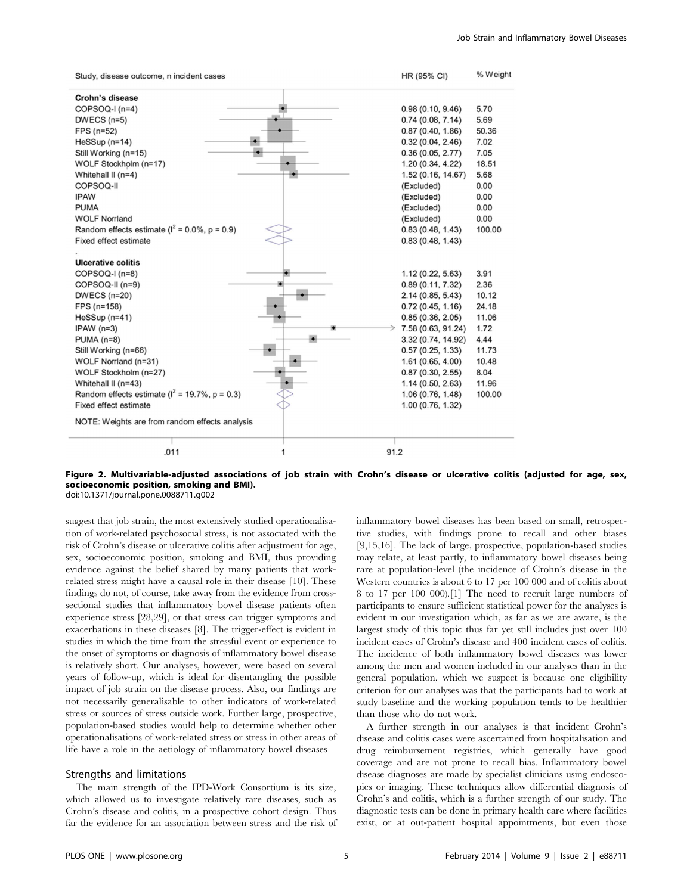| Study, disease outcome, n incident cases           |   | HR (95% CI)        | % Weight |
|----------------------------------------------------|---|--------------------|----------|
| Crohn's disease                                    |   |                    |          |
| COPSOQ-I (n=4)                                     |   | 0.98(0.10, 9.46)   | 5.70     |
| $DWECS(n=5)$                                       |   | 0.74(0.08, 7.14)   | 5.69     |
| $FPS(n=52)$                                        |   | 0.87(0.40, 1.86)   | 50.36    |
| $HeSSup(n=14)$                                     |   | 0.32(0.04, 2.46)   | 7.02     |
| Still Working (n=15)                               |   | 0.36(0.05, 2.77)   | 7.05     |
| WOLF Stockholm (n=17)                              |   | 1.20(0.34, 4.22)   | 18.51    |
| Whitehall II (n=4)                                 |   | 1.52 (0.16, 14.67) | 5.68     |
| COPSOQ-II                                          |   | (Excluded)         | 0.00     |
| <b>IPAW</b>                                        |   | (Excluded)         | 0.00     |
| <b>PUMA</b>                                        |   | (Excluded)         | 0.00     |
| <b>WOLF Norrland</b>                               |   | (Excluded)         | 0.00     |
| Random effects estimate ( $I^2 = 0.0\%$ , p = 0.9) |   | 0.83(0.48, 1.43)   | 100.00   |
| Fixed effect estimate                              |   | 0.83(0.48, 1.43)   |          |
| <b>Ulcerative colitis</b>                          |   |                    |          |
| COPSOQ-I (n=8)                                     |   | 1.12(0.22, 5.63)   | 3.91     |
| COPSOQ-II (n=9)                                    |   | 0.89(0.11, 7.32)   | 2.36     |
| <b>DWECS (n=20)</b>                                |   | 2.14 (0.85, 5.43)  | 10.12    |
| FPS (n=158)                                        |   | 0.72(0.45, 1.16)   | 24.18    |
| $HeSSup(n=41)$                                     |   | 0.85(0.36, 2.05)   | 11.06    |
| $IPAW(n=3)$                                        |   | 7.58 (0.63, 91.24) | 1.72     |
| $PUMA(n=8)$                                        |   | 3.32 (0.74, 14.92) | 4.44     |
| Still Working (n=66)                               |   | 0.57(0.25, 1.33)   | 11.73    |
| WOLF Norrland (n=31)                               |   | 1.61(0.65, 4.00)   | 10.48    |
| WOLF Stockholm (n=27)                              |   | 0.87(0.30, 2.55)   | 8.04     |
| Whitehall II (n=43)                                |   | 1.14(0.50, 2.63)   | 11.96    |
| Random effects estimate ( $I^2$ = 19.7%, p = 0.3)  |   | 1.06(0.76, 1.48)   | 100.00   |
| Fixed effect estimate                              |   | 1.00(0.76, 1.32)   |          |
| NOTE: Weights are from random effects analysis     |   |                    |          |
|                                                    |   |                    |          |
| .011                                               | 1 | 91.2               |          |

Figure 2. Multivariable-adjusted associations of job strain with Crohn's disease or ulcerative colitis (adjusted for age, sex, socioeconomic position, smoking and BMI). doi:10.1371/journal.pone.0088711.g002

suggest that job strain, the most extensively studied operationalisation of work-related psychosocial stress, is not associated with the risk of Crohn's disease or ulcerative colitis after adjustment for age, sex, socioeconomic position, smoking and BMI, thus providing evidence against the belief shared by many patients that workrelated stress might have a causal role in their disease [10]. These findings do not, of course, take away from the evidence from crosssectional studies that inflammatory bowel disease patients often experience stress [28,29], or that stress can trigger symptoms and exacerbations in these diseases [8]. The trigger-effect is evident in studies in which the time from the stressful event or experience to the onset of symptoms or diagnosis of inflammatory bowel disease is relatively short. Our analyses, however, were based on several years of follow-up, which is ideal for disentangling the possible impact of job strain on the disease process. Also, our findings are not necessarily generalisable to other indicators of work-related stress or sources of stress outside work. Further large, prospective, population-based studies would help to determine whether other operationalisations of work-related stress or stress in other areas of life have a role in the aetiology of inflammatory bowel diseases

## Strengths and limitations

The main strength of the IPD-Work Consortium is its size, which allowed us to investigate relatively rare diseases, such as Crohn's disease and colitis, in a prospective cohort design. Thus far the evidence for an association between stress and the risk of inflammatory bowel diseases has been based on small, retrospective studies, with findings prone to recall and other biases [9,15,16]. The lack of large, prospective, population-based studies may relate, at least partly, to inflammatory bowel diseases being rare at population-level (the incidence of Crohn's disease in the Western countries is about 6 to 17 per 100 000 and of colitis about 8 to 17 per 100 000).[1] The need to recruit large numbers of participants to ensure sufficient statistical power for the analyses is evident in our investigation which, as far as we are aware, is the largest study of this topic thus far yet still includes just over 100 incident cases of Crohn's disease and 400 incident cases of colitis. The incidence of both inflammatory bowel diseases was lower among the men and women included in our analyses than in the general population, which we suspect is because one eligibility criterion for our analyses was that the participants had to work at study baseline and the working population tends to be healthier than those who do not work.

A further strength in our analyses is that incident Crohn's disease and colitis cases were ascertained from hospitalisation and drug reimbursement registries, which generally have good coverage and are not prone to recall bias. Inflammatory bowel disease diagnoses are made by specialist clinicians using endoscopies or imaging. These techniques allow differential diagnosis of Crohn's and colitis, which is a further strength of our study. The diagnostic tests can be done in primary health care where facilities exist, or at out-patient hospital appointments, but even those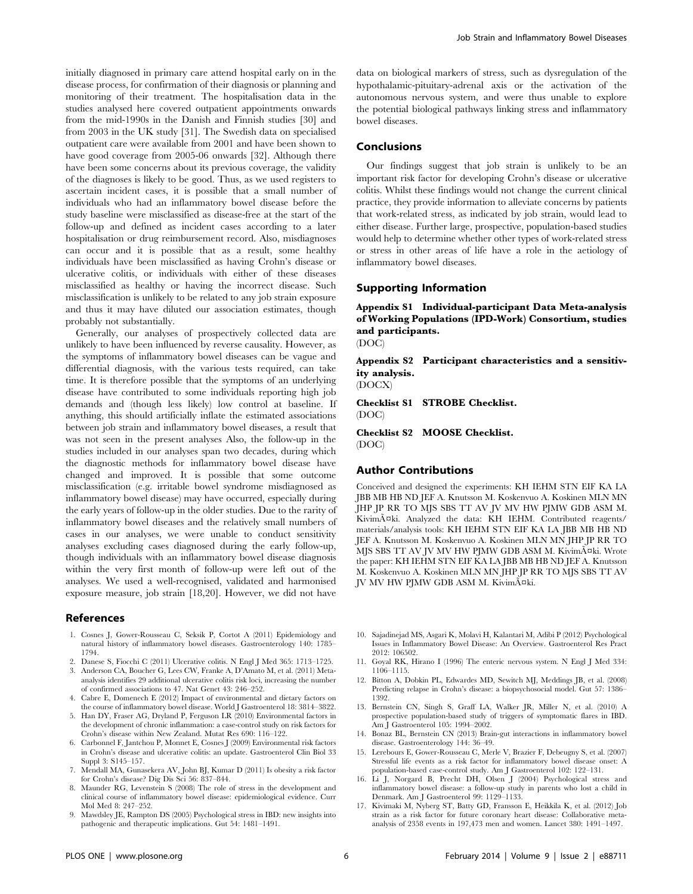initially diagnosed in primary care attend hospital early on in the disease process, for confirmation of their diagnosis or planning and monitoring of their treatment. The hospitalisation data in the studies analysed here covered outpatient appointments onwards from the mid-1990s in the Danish and Finnish studies [30] and from 2003 in the UK study [31]. The Swedish data on specialised outpatient care were available from 2001 and have been shown to have good coverage from 2005-06 onwards [32]. Although there have been some concerns about its previous coverage, the validity of the diagnoses is likely to be good. Thus, as we used registers to ascertain incident cases, it is possible that a small number of individuals who had an inflammatory bowel disease before the study baseline were misclassified as disease-free at the start of the follow-up and defined as incident cases according to a later hospitalisation or drug reimbursement record. Also, misdiagnoses can occur and it is possible that as a result, some healthy individuals have been misclassified as having Crohn's disease or ulcerative colitis, or individuals with either of these diseases misclassified as healthy or having the incorrect disease. Such misclassification is unlikely to be related to any job strain exposure and thus it may have diluted our association estimates, though probably not substantially.

Generally, our analyses of prospectively collected data are unlikely to have been influenced by reverse causality. However, as the symptoms of inflammatory bowel diseases can be vague and differential diagnosis, with the various tests required, can take time. It is therefore possible that the symptoms of an underlying disease have contributed to some individuals reporting high job demands and (though less likely) low control at baseline. If anything, this should artificially inflate the estimated associations between job strain and inflammatory bowel diseases, a result that was not seen in the present analyses Also, the follow-up in the studies included in our analyses span two decades, during which the diagnostic methods for inflammatory bowel disease have changed and improved. It is possible that some outcome misclassification (e.g. irritable bowel syndrome misdiagnosed as inflammatory bowel disease) may have occurred, especially during the early years of follow-up in the older studies. Due to the rarity of inflammatory bowel diseases and the relatively small numbers of cases in our analyses, we were unable to conduct sensitivity analyses excluding cases diagnosed during the early follow-up, though individuals with an inflammatory bowel disease diagnosis within the very first month of follow-up were left out of the analyses. We used a well-recognised, validated and harmonised exposure measure, job strain [18,20]. However, we did not have

## References

- 1. Cosnes J, Gower-Rousseau C, Seksik P, Cortot A (2011) Epidemiology and natural history of inflammatory bowel diseases. Gastroenterology 140: 1785– 1794.
- 2. Danese S, Fiocchi C (2011) Ulcerative colitis. N Engl J Med 365: 1713–1725.
- 3. Anderson CA, Boucher G, Lees CW, Franke A, D'Amato M, et al. (2011) Metaanalysis identifies 29 additional ulcerative colitis risk loci, increasing the number of confirmed associations to 47. Nat Genet 43: 246–252.
- 4. Cabre E, Domenech E (2012) Impact of environmental and dietary factors on the course of inflammatory bowel disease. World J Gastroenterol 18: 3814–3822.
- 5. Han DY, Fraser AG, Dryland P, Ferguson LR (2010) Environmental factors in the development of chronic inflammation: a case-control study on risk factors for Crohn's disease within New Zealand. Mutat Res 690: 116–122.
- 6. Carbonnel F, Jantchou P, Monnet E, Cosnes J (2009) Environmental risk factors in Crohn's disease and ulcerative colitis: an update. Gastroenterol Clin Biol 33 Suppl 3: S145–157.
- 7. Mendall MA, Gunasekera AV, John BJ, Kumar D (2011) Is obesity a risk factor for Crohn's disease? Dig Dis Sci 56: 837–844.
- 8. Maunder RG, Levenstein S (2008) The role of stress in the development and clinical course of inflammatory bowel disease: epidemiological evidence. Curr Mol Med 8: 247–252.
- 9. Mawdsley JE, Rampton DS (2005) Psychological stress in IBD: new insights into pathogenic and therapeutic implications. Gut 54: 1481–1491.

data on biological markers of stress, such as dysregulation of the hypothalamic-pituitary-adrenal axis or the activation of the autonomous nervous system, and were thus unable to explore the potential biological pathways linking stress and inflammatory bowel diseases.

# Conclusions

Our findings suggest that job strain is unlikely to be an important risk factor for developing Crohn's disease or ulcerative colitis. Whilst these findings would not change the current clinical practice, they provide information to alleviate concerns by patients that work-related stress, as indicated by job strain, would lead to either disease. Further large, prospective, population-based studies would help to determine whether other types of work-related stress or stress in other areas of life have a role in the aetiology of inflammatory bowel diseases.

## Supporting Information

Appendix S1 Individual-participant Data Meta-analysis of Working Populations (IPD-Work) Consortium, studies and participants.

(DOC)

Appendix S2 Participant characteristics and a sensitivity analysis.

(DOCX)

Checklist S1 STROBE Checklist.

(DOC)

Checklist S2 MOOSE Checklist. (DOC)

## Author Contributions

Conceived and designed the experiments: KH IEHM STN EIF KA LA JBB MB HB ND JEF A. Knutsson M. Koskenvuo A. Koskinen MLN MN JHP JP RR TO MJS SBS TT AV JV MV HW PJMW GDB ASM M. Kivimäki. Analyzed the data: KH IEHM. Contributed reagents/ materials/analysis tools: KH IEHM STN EIF KA LA JBB MB HB ND JEF A. Knutsson M. Koskenvuo A. Koskinen MLN MN JHP JP RR TO MJS SBS TT AV JV MV HW PJMW GDB ASM M. Kivimäki. Wrote the paper: KH IEHM STN EIF KA LA JBB MB HB ND JEF A. Knutsson M. Koskenvuo A. Koskinen MLN MN JHP JP RR TO MJS SBS TT AV JV MV HW PJMW GDB ASM M. Kivimäki.

- 10. Sajadinejad MS, Asgari K, Molavi H, Kalantari M, Adibi P (2012) Psychological Issues in Inflammatory Bowel Disease: An Overview. Gastroenterol Res Pract 2012: 106502.
- 11. Goyal RK, Hirano I (1996) The enteric nervous system. N Engl J Med 334: 1106–1115.
- 12. Bitton A, Dobkin PL, Edwardes MD, Sewitch MJ, Meddings JB, et al. (2008) Predicting relapse in Crohn's disease: a biopsychosocial model. Gut 57: 1386– 1392.
- 13. Bernstein CN, Singh S, Graff LA, Walker JR, Miller N, et al. (2010) A prospective population-based study of triggers of symptomatic flares in IBD. Am J Gastroenterol 105: 1994–2002.
- 14. Bonaz BL, Bernstein CN (2013) Brain-gut interactions in inflammatory bowel disease. Gastroenterology 144: 36–49.
- 15. Lerebours E, Gower-Rousseau C, Merle V, Brazier F, Debeugny S, et al. (2007) Stressful life events as a risk factor for inflammatory bowel disease onset: A population-based case-control study. Am J Gastroenterol 102: 122–131.
- 16. Li J, Norgard B, Precht DH, Olsen J (2004) Psychological stress and inflammatory bowel disease: a follow-up study in parents who lost a child in Denmark. Am J Gastroenterol 99: 1129–1133.
- 17. Kivimaki M, Nyberg ST, Batty GD, Fransson E, Heikkila K, et al. (2012) Job strain as a risk factor for future coronary heart disease: Collaborative metaanalysis of 2358 events in 197,473 men and women. Lancet 380: 1491–1497.